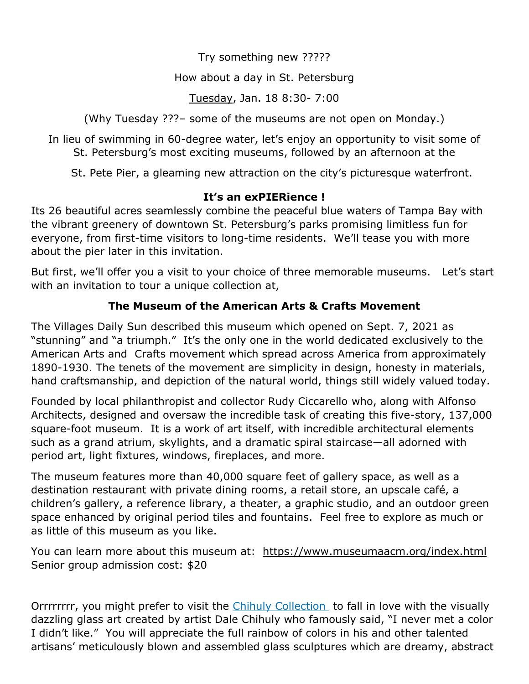Try something new ?????

## How about a day in St. Petersburg

Tuesday, Jan. 18 8:30- 7:00

(Why Tuesday ???– some of the museums are not open on Monday.)

In lieu of swimming in 60-degree water, let's enjoy an opportunity to visit some of St. Petersburg's most exciting museums, followed by an afternoon at the

St. Pete Pier, a gleaming new attraction on the city's picturesque waterfront.

## **It's an exPIERience !**

Its 26 beautiful acres seamlessly combine the peaceful blue waters of Tampa Bay with the vibrant greenery of downtown St. Petersburg's parks promising limitless fun for everyone, from first-time visitors to long-time residents. We'll tease you with more about the pier later in this invitation.

But first, we'll offer you a visit to your choice of three memorable museums. Let's start with an invitation to tour a unique collection at,

## **The Museum of the American Arts & Crafts Movement**

The Villages Daily Sun described this museum which opened on Sept. 7, 2021 as "stunning" and "a triumph." It's the only one in the world dedicated exclusively to the American Arts and Crafts movement which spread across America from approximately 1890-1930. The tenets of the movement are simplicity in design, honesty in materials, hand craftsmanship, and depiction of the natural world, things still widely valued today.

Founded by local philanthropist and collector Rudy Ciccarello who, along with Alfonso Architects, designed and oversaw the incredible task of creating this five-story, 137,000 square-foot museum. It is a work of art itself, with incredible architectural elements such as a grand atrium, skylights, and a dramatic spiral staircase—all adorned with period art, light fixtures, windows, fireplaces, and more.

The museum features more than 40,000 square feet of gallery space, as well as a destination restaurant with private dining rooms, a retail store, an upscale café, a children's gallery, a reference library, a theater, a graphic studio, and an outdoor green space enhanced by original period tiles and fountains. Feel free to explore as much or as little of this museum as you like.

You can learn more about this museum at: [https://www.museumaacm.org/index.html](about:blank)  Senior group admission cost: \$20

Orrrrrrrrr, you might prefer to visit the Chihuly Collection to fall in love with the visually dazzling glass art created by artist Dale Chihuly who famously said, "I never met a color I didn't like." You will appreciate the full rainbow of colors in his and other talented artisans' meticulously blown and assembled glass sculptures which are dreamy, abstract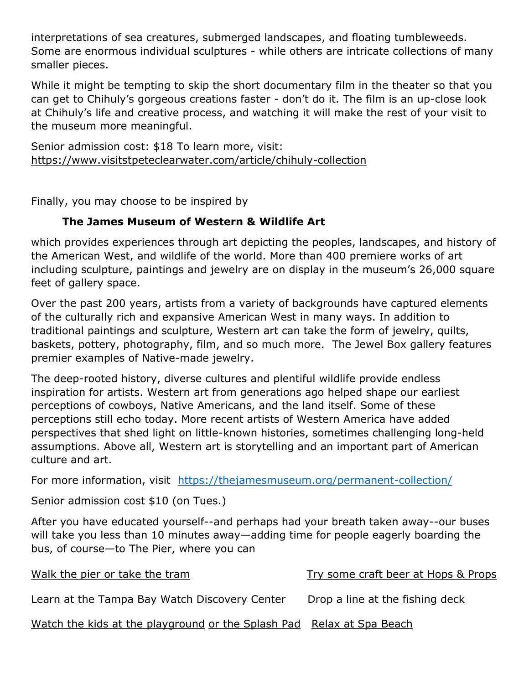interpretations of sea creatures, submerged landscapes, and floating tumbleweeds. Some are enormous individual sculptures - while others are intricate collections of many smaller pieces.

While it might be tempting to skip the short documentary film in the theater so that you can get to Chihuly's gorgeous creations faster - don't do it. The film is an up-close look at Chihuly's life and creative process, and watching it will make the rest of your visit to the museum more meaningful.

Senior admission cost: \$18 To learn more, visit: [https://www.visitstpeteclearwater.com/article/chihuly-collection](about:blank)

Finally, you may choose to be inspired by

## **The James Museum of Western & Wildlife Art**

which provides experiences through art depicting the peoples, landscapes, and history of the American West, and wildlife of the world. More than 400 premiere works of art including sculpture, paintings and jewelry are on display in the museum's 26,000 square feet of gallery space.

Over the past 200 years, artists from a variety of backgrounds have captured elements of the culturally rich and expansive American West in many ways. In addition to traditional paintings and sculpture, Western art can take the form of jewelry, quilts, baskets, pottery, photography, film, and so much more. The Jewel Box gallery features premier examples of Native-made jewelry.

The deep-rooted history, diverse cultures and plentiful wildlife provide endless inspiration for artists. Western art from generations ago helped shape our earliest perceptions of cowboys, Native Americans, and the land itself. Some of these perceptions still echo today. More recent artists of Western America have added perspectives that shed light on little-known histories, sometimes challenging long-held assumptions. Above all, Western art is storytelling and an important part of American culture and art.

For more information, visit [https://thejamesmuseum.org/permanent-collection/](about:blank)

Senior admission cost \$10 (on Tues.)

After you have educated yourself--and perhaps had your breath taken away--our buses will take you less than 10 minutes away—adding time for people eagerly boarding the bus, of course—to The Pier, where you can

| Walk the pier or take the tram                                        | Try some craft beer at Hops & Props |
|-----------------------------------------------------------------------|-------------------------------------|
| Learn at the Tampa Bay Watch Discovery Center                         | Drop a line at the fishing deck     |
| Watch the kids at the playground or the Splash Pad Relax at Spa Beach |                                     |